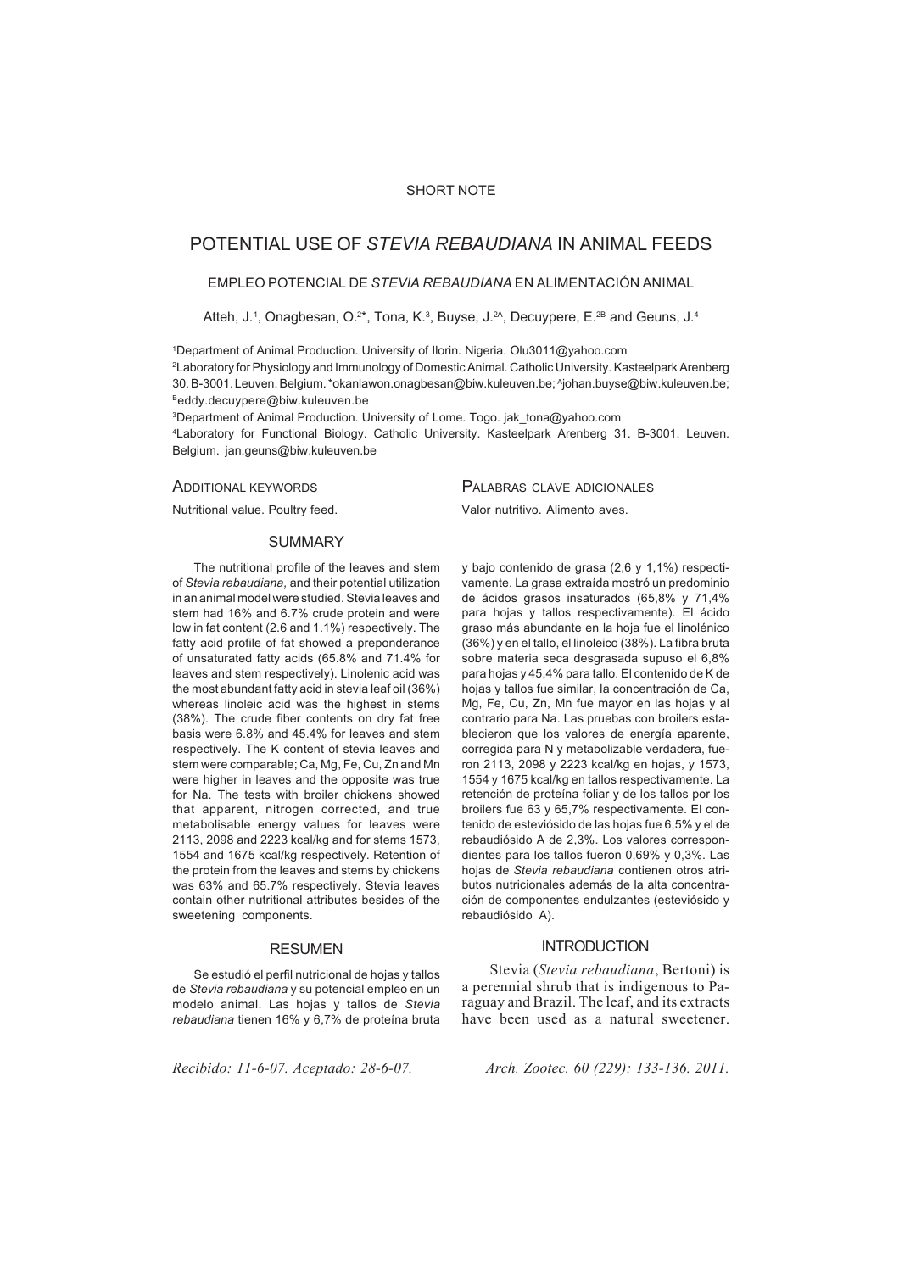## SHORT NOTE

# POTENTIAL USE OF *STEVIA REBAUDIANA* IN ANIMAL FEEDS

### EMPLEO POTENCIAL DE *STEVIA REBAUDIANA* EN ALIMENTACIÓN ANIMAL

Atteh, J.<sup>1</sup>, Onagbesan, O.<sup>2\*</sup>, Tona, K.<sup>3</sup>, Buyse, J.<sup>2A</sup>, Decuypere, E.<sup>2B</sup> and Geuns, J.<sup>4</sup>

1Department of Animal Production. University of Ilorin. Nigeria. Olu3011@yahoo.com 2 Laboratory for Physiology and Immunology of Domestic Animal. Catholic University. Kasteelpark Arenberg 30. B-3001. Leuven. Belgium. \*okanlawon.onagbesan@biw.kuleuven.be; ^johan.buyse@biw.kuleuven.be; Beddy.decuypere@biw.kuleuven.be

3Department of Animal Production. University of Lome. Togo. jak\_tona@yahoo.com 4 Laboratory for Functional Biology. Catholic University. Kasteelpark Arenberg 31. B-3001. Leuven. Belgium. jan.geuns@biw.kuleuven.be

ADDITIONAL KEYWORDS

Nutritional value. Poultry feed.

PALABRAS CLAVE ADICIONALES Valor nutritivo. Alimento aves.

#### **SUMMARY**

The nutritional profile of the leaves and stem of *Stevia rebaudiana,* and their potential utilization in an animal model were studied. Stevia leaves and stem had 16% and 6.7% crude protein and were low in fat content (2.6 and 1.1%) respectively. The fatty acid profile of fat showed a preponderance of unsaturated fatty acids (65.8% and 71.4% for leaves and stem respectively). Linolenic acid was the most abundant fatty acid in stevia leaf oil (36%) whereas linoleic acid was the highest in stems (38%). The crude fiber contents on dry fat free basis were 6.8% and 45.4% for leaves and stem respectively. The K content of stevia leaves and stem were comparable; Ca, Mg, Fe, Cu, Zn and Mn were higher in leaves and the opposite was true for Na. The tests with broiler chickens showed that apparent, nitrogen corrected, and true metabolisable energy values for leaves were 2113, 2098 and 2223 kcal/kg and for stems 1573, 1554 and 1675 kcal/kg respectively. Retention of the protein from the leaves and stems by chickens was 63% and 65.7% respectively. Stevia leaves contain other nutritional attributes besides of the sweetening components.

#### RESUMEN

Se estudió el perfil nutricional de hojas y tallos de *Stevia rebaudiana* y su potencial empleo en un modelo animal. Las hojas y tallos de *Stevia rebaudiana* tienen 16% y 6,7% de proteína bruta

y bajo contenido de grasa (2,6 y 1,1%) respectivamente. La grasa extraída mostró un predominio de ácidos grasos insaturados (65,8% y 71,4% para hojas y tallos respectivamente). El ácido graso más abundante en la hoja fue el linolénico (36%) y en el tallo, el linoleico (38%). La fibra bruta sobre materia seca desgrasada supuso el 6,8% para hojas y 45,4% para tallo. El contenido de K de hojas y tallos fue similar, la concentración de Ca, Mg, Fe, Cu, Zn, Mn fue mayor en las hojas y al contrario para Na. Las pruebas con broilers establecieron que los valores de energía aparente, corregida para N y metabolizable verdadera, fueron 2113, 2098 y 2223 kcal/kg en hojas, y 1573, 1554 y 1675 kcal/kg en tallos respectivamente. La retención de proteína foliar y de los tallos por los broilers fue 63 y 65,7% respectivamente. El contenido de esteviósido de las hojas fue 6,5% y el de rebaudiósido A de 2,3%. Los valores correspondientes para los tallos fueron 0,69% y 0,3%. Las hojas de *Stevia rebaudiana* contienen otros atributos nutricionales además de la alta concentración de componentes endulzantes (esteviósido y rebaudiósido A).

#### **INTRODUCTION**

 Stevia (*Stevia rebaudiana*, Bertoni) is a perennial shrub that is indigenous to Paraguay and Brazil. The leaf, and its extracts have been used as a natural sweetener.

*Recibido: 11-6-07. Aceptado: 28-6-07. Arch. Zootec. 60 (229): 133-136. 2011.*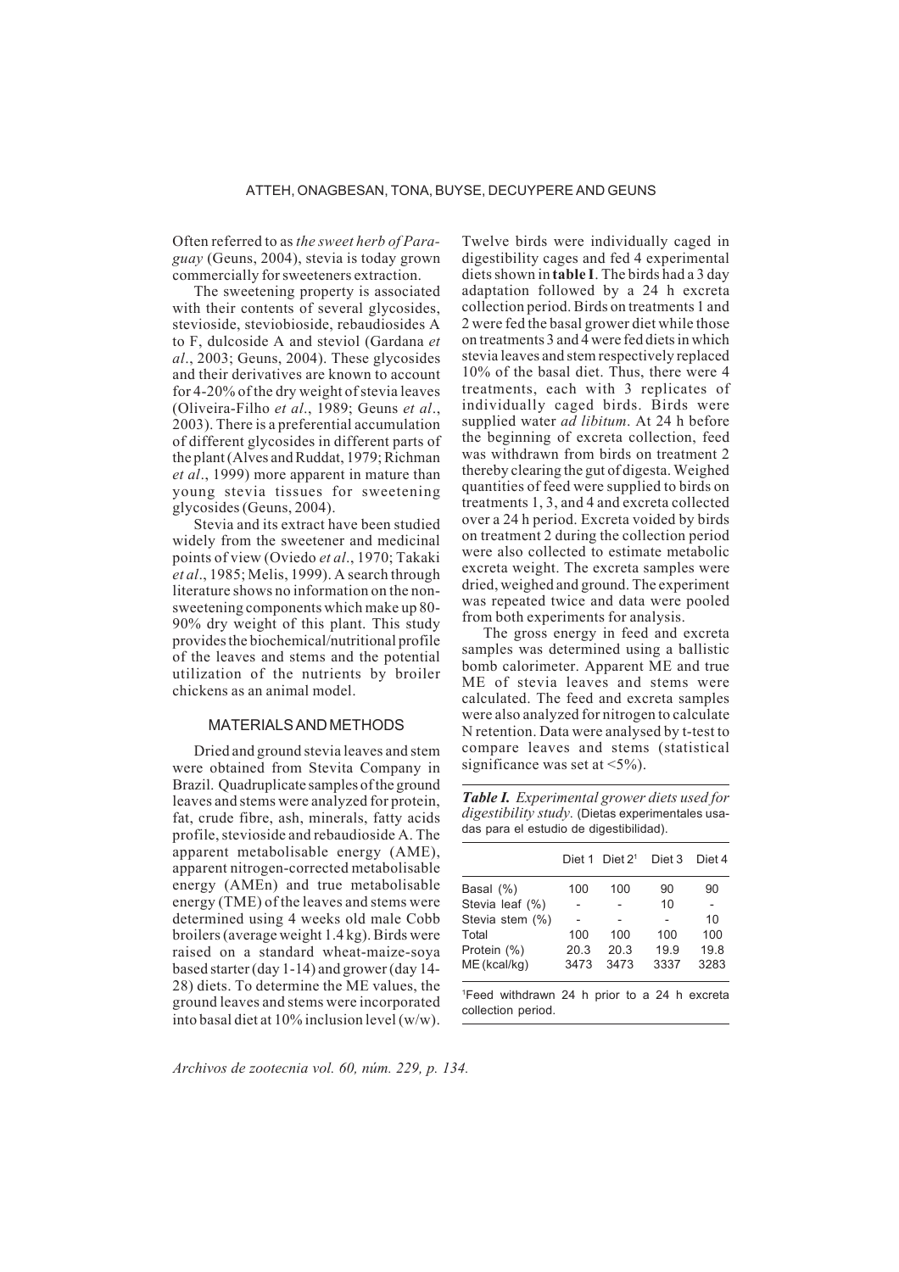Often referred to as *the sweet herb of Paraguay* (Geuns, 2004), stevia is today grown commercially for sweeteners extraction.

The sweetening property is associated with their contents of several glycosides, stevioside, steviobioside, rebaudiosides A to F, dulcoside A and steviol (Gardana *et al*., 2003; Geuns, 2004). These glycosides and their derivatives are known to account for 4-20% of the dry weight of stevia leaves (Oliveira-Filho *et al*., 1989; Geuns *et al*., 2003). There is a preferential accumulation of different glycosides in different parts of the plant (Alves and Ruddat, 1979; Richman *et al*., 1999) more apparent in mature than young stevia tissues for sweetening glycosides (Geuns, 2004).

Stevia and its extract have been studied widely from the sweetener and medicinal points of view (Oviedo *et al*., 1970; Takaki *et al*., 1985; Melis, 1999). A search through literature shows no information on the nonsweetening components which make up 80- 90% dry weight of this plant. This study provides the biochemical/nutritional profile of the leaves and stems and the potential utilization of the nutrients by broiler chickens as an animal model.

### MATERIALS AND METHODS

Dried and ground stevia leaves and stem were obtained from Stevita Company in Brazil. Quadruplicate samples of the ground leaves and stems were analyzed for protein, fat, crude fibre, ash, minerals, fatty acids profile, stevioside and rebaudioside A. The apparent metabolisable energy (AME), apparent nitrogen-corrected metabolisable energy (AMEn) and true metabolisable energy (TME) of the leaves and stems were determined using 4 weeks old male Cobb broilers (average weight 1.4 kg). Birds were raised on a standard wheat-maize-soya based starter (day 1-14) and grower (day 14- 28) diets. To determine the ME values, the ground leaves and stems were incorporated into basal diet at 10% inclusion level (w/w). Twelve birds were individually caged in digestibility cages and fed 4 experimental diets shown in **table I**. The birds had a 3 day adaptation followed by a 24 h excreta collection period. Birds on treatments 1 and 2 were fed the basal grower diet while those on treatments 3 and  $\widetilde{4}$  were fed diets in which stevia leaves and stem respectively replaced 10% of the basal diet. Thus, there were 4 treatments, each with 3 replicates of individually caged birds. Birds were supplied water *ad libitum*. At 24 h before the beginning of excreta collection, feed was withdrawn from birds on treatment 2 thereby clearing the gut of digesta. Weighed quantities of feed were supplied to birds on treatments 1, 3, and 4 and excreta collected over a 24 h period. Excreta voided by birds on treatment 2 during the collection period were also collected to estimate metabolic excreta weight. The excreta samples were dried, weighed and ground. The experiment was repeated twice and data were pooled from both experiments for analysis.

The gross energy in feed and excreta samples was determined using a ballistic bomb calorimeter. Apparent ME and true ME of stevia leaves and stems were calculated. The feed and excreta samples were also analyzed for nitrogen to calculate N retention. Data were analysed by t-test to compare leaves and stems (statistical significance was set at  $\langle 5\% \rangle$ .

*Table I. Experimental grower diets used for digestibility study.* (Dietas experimentales usadas para el estudio de digestibilidad).

|                                                                                | Diet 1 | Diet $21$ | Diet 3 | Diet 4 |
|--------------------------------------------------------------------------------|--------|-----------|--------|--------|
| Basal (%)                                                                      | 100    | 100       | 90     | 90     |
| Stevia leaf (%)                                                                |        |           | 10     |        |
| Stevia stem (%)                                                                |        |           |        | 10     |
| Total                                                                          | 100    | 100       | 100    | 100    |
| Protein (%)                                                                    | 20.3   | 20.3      | 19.9   | 19.8   |
| ME (kcal/kg)                                                                   | 3473   | 3473      | 3337   | 3283   |
| <sup>1</sup> Feed withdrawn 24 h prior to a 24 h excreta<br>collection period. |        |           |        |        |

*Archivos de zootecnia vol. 60, núm. 229, p. 134.*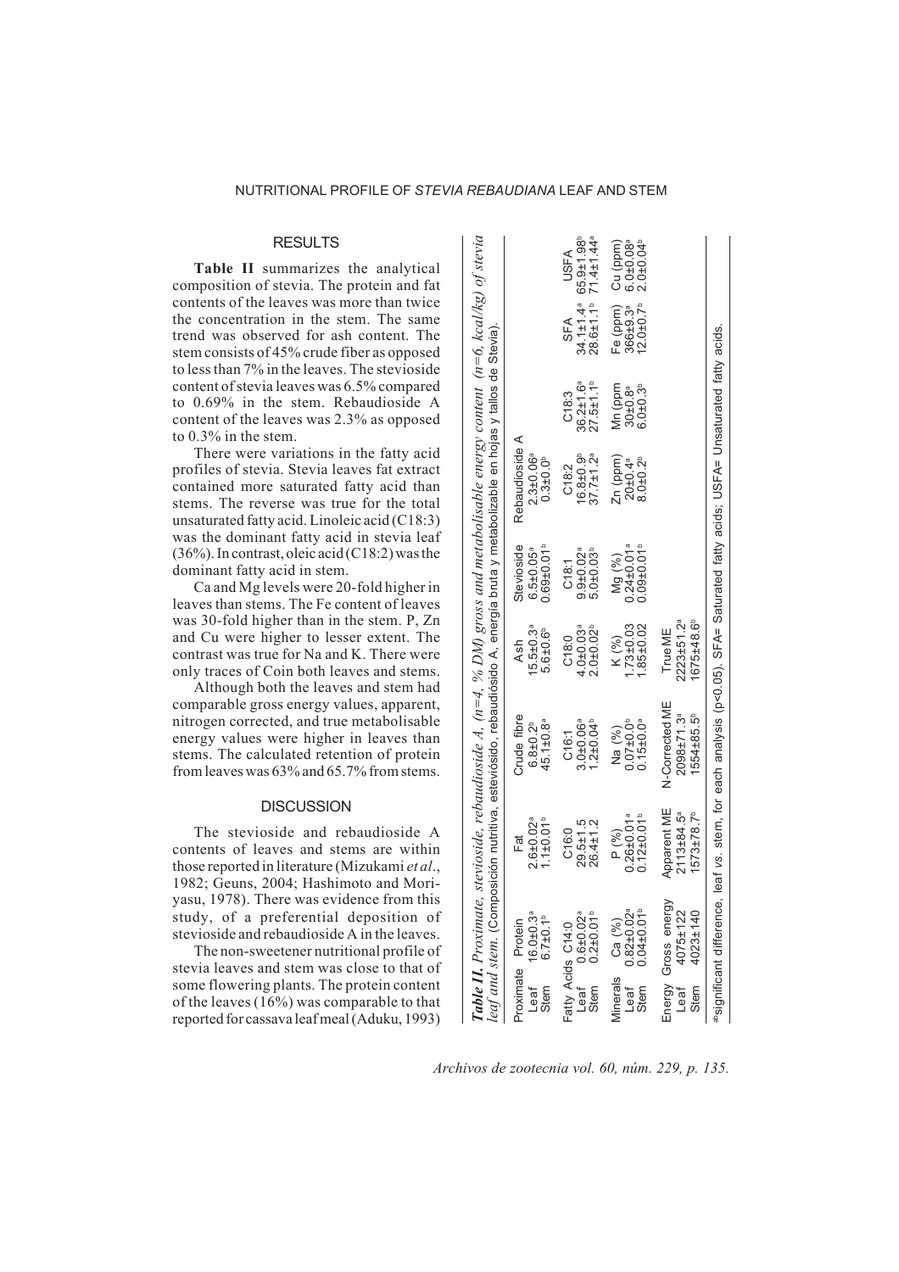## **RESULTS**

**Table II** summarizes the analytical composition of stevia. The protein and fat contents of the leaves was more than twice the concentration in the stem. The same trend was observed for ash content. The stem consists of 45% crude fiber as opposed to less than 7% in the leaves. The stevioside content of stevia leaves was 6.5% compared to 0.69% in the stem. Rebaudioside A content of the leaves was 2.3% as opposed to 0.3% in the stem.

There were variations in the fatty acid profiles of stevia. Stevia leaves fat extract contained more saturated fatty acid than stems. The reverse was true for the total unsaturated fatty acid. Linoleic acid (C18:3) was the dominant fatty acid in stevia leaf (36%). In contrast, oleic acid (C18:2) was the dominant fatty acid in stem.

Ca and Mg levels were 20-fold higher in leaves than stems. The Fe content of leaves was 30-fold higher than in the stem. P, Zn and Cu were higher to lesser extent. The contrast was true for Na and K. There were only traces of Coin both leaves and stems.

Although both the leaves and stem had comparable gross energy values, apparent, nitrogen corrected, and true metabolisable energy values were higher in leaves than stems. The calculated retention of protein from leaves was 63% and 65.7% from stems.

## **DISCUSSION**

The stevioside and rebaudioside A contents of leaves and stems are within those reported in literature (Mizukami *et al*., 1982; Geuns, 2004; Hashimoto and Moriyasu, 1978). There was evidence from this study, of a preferential deposition of stevioside and rebaudioside A in the leaves.

The non-sweetener nutritional profile of stevia leaves and stem was close to that of some flowering plants. The protein content of the leaves  $(16\%)$  was comparable to that reported for cassava leaf meal (Aduku, 1993)

|              |                                                                                |                                                                       | <b>Table II.</b> Proximate, stevioside, rebaudioside A, (n=4, % DM) gross and metabolisable energy content (n=6, kcal/kg) of stevia<br>leaf and stem. (Composición nutitiva, esteviósido, rebaudiósido A, energía bruta y metabolizabl |                                                            |                                                            |                                                                |                                                          |                                                |                                                                          |
|--------------|--------------------------------------------------------------------------------|-----------------------------------------------------------------------|----------------------------------------------------------------------------------------------------------------------------------------------------------------------------------------------------------------------------------------|------------------------------------------------------------|------------------------------------------------------------|----------------------------------------------------------------|----------------------------------------------------------|------------------------------------------------|--------------------------------------------------------------------------|
| Leaf<br>Stem | $16.0 \pm 0.3$ <sup>a</sup><br>6.7 $\pm 0.1$ <sup>b</sup><br>Proximate Protein | $1.1 \pm 0.01$ <sup>b</sup><br>$2.6 + 0.02$ <sup>a</sup><br>Fat       | Crude fibre<br>45.1±0.8ª<br>$6.8 + 0.2^{b}$                                                                                                                                                                                            | $15.5 \pm 0.3$ <sup>a</sup><br>5.6±0.6 <sup>b</sup><br>Ash | $0.69 + 0.01$<br>Stevioside<br>$6.5 \pm 0.05$ <sup>a</sup> | Rebaudioside A<br>$2.3 \pm 0.06$ <sup>a</sup><br>$0.3 + 0.0^b$ |                                                          |                                                |                                                                          |
|              | Fatty Acids C14:0<br>Leaf 0.6±0.02ª<br>Stem 0.2±0.01 <sup>b</sup>              | $26.4 \pm 1.2$<br>$29.5 \pm 1.5$<br>C16:0                             | $3.0 + 0.06$ <sup>a</sup><br>$1.2 \pm 0.04^b$<br>C16:1                                                                                                                                                                                 | $4.0 + 0.03$ <sup>a</sup><br>$2.0 + 0.02$<br>C18:0         | $9.9 + 0.02$ <sup>a</sup><br>$5.0 + 0.03b$<br>C18:1        | $37.7 \pm 1.2^a$<br>$6.8 + 0.9b$<br>C18:2                      | $36.2 \pm 1.6$ <sup>a</sup><br>$27.5 + 1.1^{b}$<br>C18.3 | $28.6 + 1.1^{b}$<br>SFA                        | $34.1 \pm 1.4$ <sup>a</sup> 65.9±1.98 <sup>b</sup><br>71.4±1.44ª<br>USFA |
|              | Minerals Ca (%)<br>Leaf 0.82±0.02ª<br>Stem 0.04±0.01 <sup>b</sup>              | $0.26 \pm 0.01$ <sup>a</sup><br>$0.12 \pm 0.01$ <sup>b</sup><br>P (%) | $0.15 \pm 0.0$ <sup>a</sup><br>0.01100<br>Na (%)                                                                                                                                                                                       | $73 + 0.03$<br>$.85 + 0.02$<br>K (%)                       | $0.24 \pm 0.01$ <sup>a</sup><br>$0.09 + 0.01$<br>Mg (%)    | Zn (ppm)<br>$3.0 + 0.2^{b}$<br>$20 \pm 0.4^a$                  | Mn (ppm<br>$5.0 + 0.3$<br>$30 + 0.8^a$                   | $12.0 \pm 0.7^{\circ}$<br>Fe (ppm)<br>366±9.3ª | $6.0 + 0.08$ <sup>a</sup><br>$2.0 + 0.04b$<br>Cu (ppm)                   |
| Leaf<br>Stem | Energy Gross energy<br>4075±122<br>4023±140                                    | Apparent ME<br>2113±84.5ª<br>$1573 \pm 78.7^{\circ}$                  | N-Corrected ME<br>2098±71.3ª<br>$1554 + 85.5^{\circ}$                                                                                                                                                                                  | 2223±51.2ª<br>675±48.6 <sup>b</sup><br>True ME             |                                                            |                                                                |                                                          |                                                |                                                                          |
|              |                                                                                |                                                                       | assignificant difference, leaf vs. stem, for each analysis (p<0.05). SFA= Saturated fatty acids; USFA= Unsaturated fatty acids                                                                                                         |                                                            |                                                            |                                                                |                                                          |                                                |                                                                          |
|              |                                                                                |                                                                       |                                                                                                                                                                                                                                        |                                                            |                                                            |                                                                |                                                          |                                                |                                                                          |

*Archivos de zootecnia vol. 60, núm. 229, p. 135.*